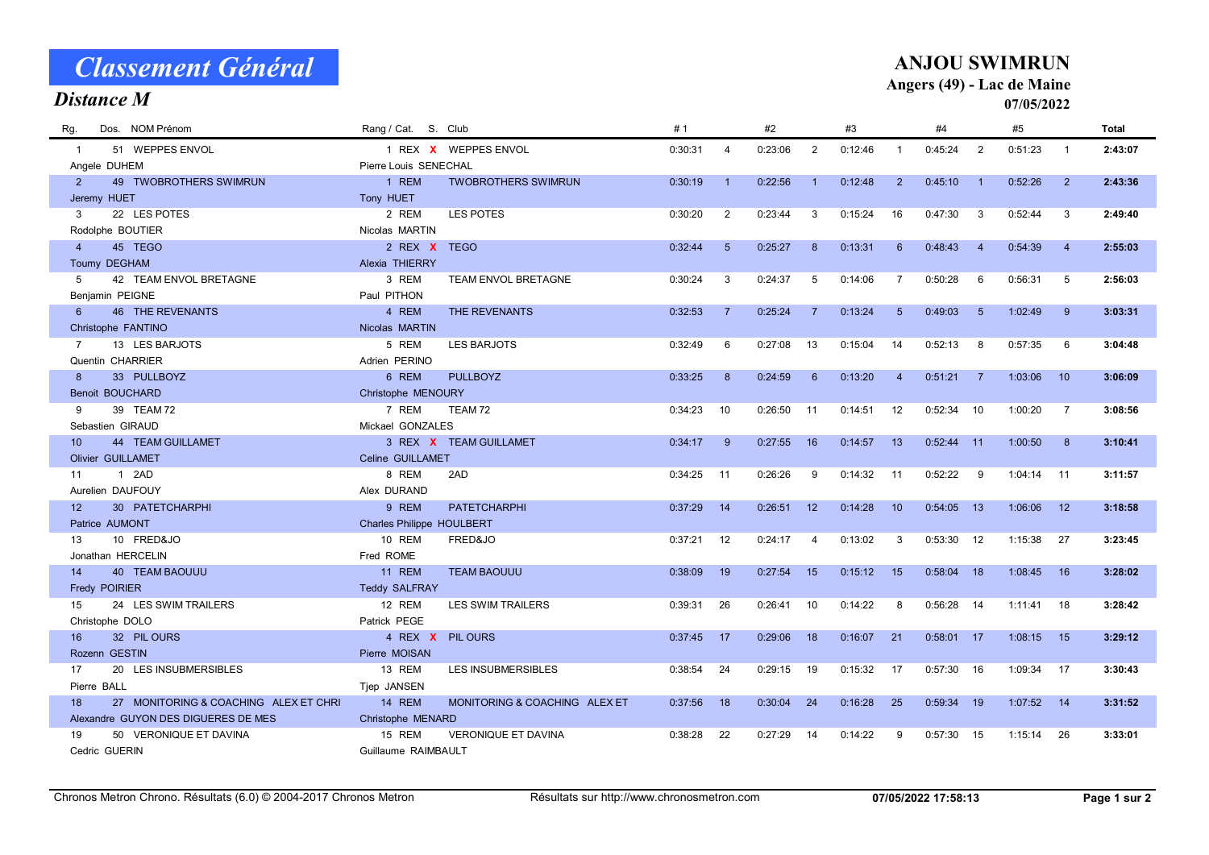| <b>Distance M</b><br>07/05/2022<br>Dos. NOM Prénom<br>Rang / Cat. S. Club<br>#1<br>#2<br>#3<br>#4<br>#5<br>Total<br>Rg.<br>51 WEPPES ENVOL<br>1 REX X WEPPES ENVOL<br>2<br>0:30:31<br>0:23:06<br>0:12:46<br>0:45:24<br>2<br>0:51:23<br>2:43:07<br>$\mathbf{1}$<br>4<br>$\overline{1}$<br>$\mathbf{1}$<br>Pierre Louis SENECHAL<br>Angele DUHEM<br>1 REM<br>0:30:19<br>0:22:56<br>$\overline{2}$<br>49 TWOBROTHERS SWIMRUN<br><b>TWOBROTHERS SWIMRUN</b><br>0:12:48<br>2<br>0:45:10<br>0:52:26<br>2<br>2:43:36<br>$\overline{1}$<br>$\overline{1}$<br>$\mathbf{1}$<br>Jeremy HUET<br>Tony HUET<br>22 LES POTES<br>0:23:44<br>0:52:44<br>3<br>2 REM<br>LES POTES<br>0:30:20<br>$\overline{2}$<br>3<br>0:15:24<br>16<br>0:47:30<br>3<br>3<br>2:49:40<br>Rodolphe BOUTIER<br>Nicolas MARTIN<br>45 TEGO<br>2 REX X TEGO<br>0:32:44<br>$5\overline{)}$<br>0:25:27<br>8<br>0:13:31<br>0:48:43<br>0:54:39<br>$\overline{4}$<br>6<br>$\overline{4}$<br>2:55:03<br>$\overline{4}$<br>Toumy DEGHAM<br>Alexia THIERRY<br>42 TEAM ENVOL BRETAGNE<br>3 REM<br>TEAM ENVOL BRETAGNE<br>0:30:24<br>3<br>0:24:37<br>5<br>$\overline{7}$<br>0:50:28<br>0:56:31<br>5<br>5<br>0:14:06<br>6<br>2:56:03<br>Benjamin PEIGNE<br>Paul PITHON<br><b>46 THE REVENANTS</b><br>0:49:03<br>$6\overline{6}$<br>4 REM<br>THE REVENANTS<br>0:32:53<br>$\overline{7}$<br>0:25:24<br>$\overline{7}$<br>0:13:24<br>$5\phantom{1}$<br>1:02:49<br>9<br>3:03:31<br>$5\overline{5}$<br>Christophe FANTINO<br>Nicolas MARTIN<br>13 LES BARJOTS<br>5 REM<br><b>LES BARJOTS</b><br>0:32:49<br>0:27:08<br>13<br>0:52:13<br>0:57:35<br>$\overline{7}$<br>6<br>0:15:04<br>14<br>8<br>6<br>3:04:48 |
|----------------------------------------------------------------------------------------------------------------------------------------------------------------------------------------------------------------------------------------------------------------------------------------------------------------------------------------------------------------------------------------------------------------------------------------------------------------------------------------------------------------------------------------------------------------------------------------------------------------------------------------------------------------------------------------------------------------------------------------------------------------------------------------------------------------------------------------------------------------------------------------------------------------------------------------------------------------------------------------------------------------------------------------------------------------------------------------------------------------------------------------------------------------------------------------------------------------------------------------------------------------------------------------------------------------------------------------------------------------------------------------------------------------------------------------------------------------------------------------------------------------------------------------------------------------------------------------------------------------------------------------------------|
|                                                                                                                                                                                                                                                                                                                                                                                                                                                                                                                                                                                                                                                                                                                                                                                                                                                                                                                                                                                                                                                                                                                                                                                                                                                                                                                                                                                                                                                                                                                                                                                                                                                    |
|                                                                                                                                                                                                                                                                                                                                                                                                                                                                                                                                                                                                                                                                                                                                                                                                                                                                                                                                                                                                                                                                                                                                                                                                                                                                                                                                                                                                                                                                                                                                                                                                                                                    |
|                                                                                                                                                                                                                                                                                                                                                                                                                                                                                                                                                                                                                                                                                                                                                                                                                                                                                                                                                                                                                                                                                                                                                                                                                                                                                                                                                                                                                                                                                                                                                                                                                                                    |
|                                                                                                                                                                                                                                                                                                                                                                                                                                                                                                                                                                                                                                                                                                                                                                                                                                                                                                                                                                                                                                                                                                                                                                                                                                                                                                                                                                                                                                                                                                                                                                                                                                                    |
|                                                                                                                                                                                                                                                                                                                                                                                                                                                                                                                                                                                                                                                                                                                                                                                                                                                                                                                                                                                                                                                                                                                                                                                                                                                                                                                                                                                                                                                                                                                                                                                                                                                    |
|                                                                                                                                                                                                                                                                                                                                                                                                                                                                                                                                                                                                                                                                                                                                                                                                                                                                                                                                                                                                                                                                                                                                                                                                                                                                                                                                                                                                                                                                                                                                                                                                                                                    |
|                                                                                                                                                                                                                                                                                                                                                                                                                                                                                                                                                                                                                                                                                                                                                                                                                                                                                                                                                                                                                                                                                                                                                                                                                                                                                                                                                                                                                                                                                                                                                                                                                                                    |
|                                                                                                                                                                                                                                                                                                                                                                                                                                                                                                                                                                                                                                                                                                                                                                                                                                                                                                                                                                                                                                                                                                                                                                                                                                                                                                                                                                                                                                                                                                                                                                                                                                                    |
|                                                                                                                                                                                                                                                                                                                                                                                                                                                                                                                                                                                                                                                                                                                                                                                                                                                                                                                                                                                                                                                                                                                                                                                                                                                                                                                                                                                                                                                                                                                                                                                                                                                    |
|                                                                                                                                                                                                                                                                                                                                                                                                                                                                                                                                                                                                                                                                                                                                                                                                                                                                                                                                                                                                                                                                                                                                                                                                                                                                                                                                                                                                                                                                                                                                                                                                                                                    |
|                                                                                                                                                                                                                                                                                                                                                                                                                                                                                                                                                                                                                                                                                                                                                                                                                                                                                                                                                                                                                                                                                                                                                                                                                                                                                                                                                                                                                                                                                                                                                                                                                                                    |
|                                                                                                                                                                                                                                                                                                                                                                                                                                                                                                                                                                                                                                                                                                                                                                                                                                                                                                                                                                                                                                                                                                                                                                                                                                                                                                                                                                                                                                                                                                                                                                                                                                                    |
|                                                                                                                                                                                                                                                                                                                                                                                                                                                                                                                                                                                                                                                                                                                                                                                                                                                                                                                                                                                                                                                                                                                                                                                                                                                                                                                                                                                                                                                                                                                                                                                                                                                    |
|                                                                                                                                                                                                                                                                                                                                                                                                                                                                                                                                                                                                                                                                                                                                                                                                                                                                                                                                                                                                                                                                                                                                                                                                                                                                                                                                                                                                                                                                                                                                                                                                                                                    |
|                                                                                                                                                                                                                                                                                                                                                                                                                                                                                                                                                                                                                                                                                                                                                                                                                                                                                                                                                                                                                                                                                                                                                                                                                                                                                                                                                                                                                                                                                                                                                                                                                                                    |
| Quentin CHARRIER<br>Adrien PERINO                                                                                                                                                                                                                                                                                                                                                                                                                                                                                                                                                                                                                                                                                                                                                                                                                                                                                                                                                                                                                                                                                                                                                                                                                                                                                                                                                                                                                                                                                                                                                                                                                  |
| 33 PULLBOYZ<br>6 REM<br><b>PULLBOYZ</b><br>8<br>0:33:25<br>8<br>0:24:59<br>0:13:20<br>0:51:21<br>1:03:06<br>6<br>$\overline{7}$<br>10<br>3:06:09<br>$\overline{4}$                                                                                                                                                                                                                                                                                                                                                                                                                                                                                                                                                                                                                                                                                                                                                                                                                                                                                                                                                                                                                                                                                                                                                                                                                                                                                                                                                                                                                                                                                 |
| <b>Benoit BOUCHARD</b><br>Christophe MENOURY                                                                                                                                                                                                                                                                                                                                                                                                                                                                                                                                                                                                                                                                                                                                                                                                                                                                                                                                                                                                                                                                                                                                                                                                                                                                                                                                                                                                                                                                                                                                                                                                       |
| 7 REM<br>39 TEAM 72<br>TEAM 72<br>0:34:23<br>10<br>0:26:50<br>0:14:51<br>12<br>0:52:34<br>10<br>1:00:20<br>$\overline{7}$<br>9<br>11<br>3:08:56                                                                                                                                                                                                                                                                                                                                                                                                                                                                                                                                                                                                                                                                                                                                                                                                                                                                                                                                                                                                                                                                                                                                                                                                                                                                                                                                                                                                                                                                                                    |
| Sebastien GIRAUD<br>Mickael GONZALES                                                                                                                                                                                                                                                                                                                                                                                                                                                                                                                                                                                                                                                                                                                                                                                                                                                                                                                                                                                                                                                                                                                                                                                                                                                                                                                                                                                                                                                                                                                                                                                                               |
| 10<br><b>44 TEAM GUILLAMET</b><br>3 REX X TEAM GUILLAMET<br>0:27:55<br>16<br>0:14:57<br>13<br>0:52:44<br>0:34:17<br>9<br>$-11$<br>1:00:50<br>8<br>3:10:41                                                                                                                                                                                                                                                                                                                                                                                                                                                                                                                                                                                                                                                                                                                                                                                                                                                                                                                                                                                                                                                                                                                                                                                                                                                                                                                                                                                                                                                                                          |
| Celine GUILLAMET<br><b>Olivier GUILLAMET</b>                                                                                                                                                                                                                                                                                                                                                                                                                                                                                                                                                                                                                                                                                                                                                                                                                                                                                                                                                                                                                                                                                                                                                                                                                                                                                                                                                                                                                                                                                                                                                                                                       |
| 1 2AD<br>8 REM<br>0:34:25<br>0:26:26<br>0:14:32<br>0:52:22<br>1:04:14<br>2AD<br>11<br>9<br>11<br>9<br>11<br>3:11:57<br>11                                                                                                                                                                                                                                                                                                                                                                                                                                                                                                                                                                                                                                                                                                                                                                                                                                                                                                                                                                                                                                                                                                                                                                                                                                                                                                                                                                                                                                                                                                                          |
| Aurelien DAUFOUY<br>Alex DURAND<br>9 REM<br>12<br>30 PATETCHARPHI<br><b>PATETCHARPHI</b><br>0:37:29<br>14<br>0:26:51<br>12<br>0:14:28<br>10<br>0:54:05<br>13<br>1:06:06<br>12<br>3:18:58                                                                                                                                                                                                                                                                                                                                                                                                                                                                                                                                                                                                                                                                                                                                                                                                                                                                                                                                                                                                                                                                                                                                                                                                                                                                                                                                                                                                                                                           |
| Patrice AUMONT<br><b>Charles Philippe HOULBERT</b>                                                                                                                                                                                                                                                                                                                                                                                                                                                                                                                                                                                                                                                                                                                                                                                                                                                                                                                                                                                                                                                                                                                                                                                                                                                                                                                                                                                                                                                                                                                                                                                                 |
| 10 FRED&JO<br><b>10 REM</b><br>FRED&JO                                                                                                                                                                                                                                                                                                                                                                                                                                                                                                                                                                                                                                                                                                                                                                                                                                                                                                                                                                                                                                                                                                                                                                                                                                                                                                                                                                                                                                                                                                                                                                                                             |
| 0:37:21<br>12<br>0:24:17<br>0:13:02<br>3<br>0:53:30<br>12<br>1:15:38<br>27<br>3:23:45<br>13<br>$\overline{4}$<br>Jonathan HERCELIN<br>Fred ROME                                                                                                                                                                                                                                                                                                                                                                                                                                                                                                                                                                                                                                                                                                                                                                                                                                                                                                                                                                                                                                                                                                                                                                                                                                                                                                                                                                                                                                                                                                    |
| <b>40 TEAM BAOUUU</b><br>11 REM<br><b>TEAM BAOUUU</b><br>14<br>0:38:09<br>19<br>0:27:54<br>15<br>0:15:12<br>15<br>0:58:04<br>18<br>1:08:45<br>16<br>3:28:02                                                                                                                                                                                                                                                                                                                                                                                                                                                                                                                                                                                                                                                                                                                                                                                                                                                                                                                                                                                                                                                                                                                                                                                                                                                                                                                                                                                                                                                                                        |
| <b>Fredy POIRIER</b><br><b>Teddy SALFRAY</b>                                                                                                                                                                                                                                                                                                                                                                                                                                                                                                                                                                                                                                                                                                                                                                                                                                                                                                                                                                                                                                                                                                                                                                                                                                                                                                                                                                                                                                                                                                                                                                                                       |
| 24 LES SWIM TRAILERS<br>12 REM<br><b>LES SWIM TRAILERS</b><br>0:39:31<br>26<br>0:26:41<br>10<br>0:14:22<br>0:56:28<br>1:11:41<br>3:28:42<br>15<br>-8<br>- 14<br>18                                                                                                                                                                                                                                                                                                                                                                                                                                                                                                                                                                                                                                                                                                                                                                                                                                                                                                                                                                                                                                                                                                                                                                                                                                                                                                                                                                                                                                                                                 |
| Christophe DOLO<br>Patrick PEGE                                                                                                                                                                                                                                                                                                                                                                                                                                                                                                                                                                                                                                                                                                                                                                                                                                                                                                                                                                                                                                                                                                                                                                                                                                                                                                                                                                                                                                                                                                                                                                                                                    |
| 32 PIL OURS<br>4 REX X<br><b>PIL OURS</b><br>0:37:45<br>0:29:06<br>$0:58:01$ 17<br>16<br>17<br>18<br>0:16:07<br>21<br>1:08:15<br>15<br>3:29:12                                                                                                                                                                                                                                                                                                                                                                                                                                                                                                                                                                                                                                                                                                                                                                                                                                                                                                                                                                                                                                                                                                                                                                                                                                                                                                                                                                                                                                                                                                     |
| Rozenn GESTIN<br>Pierre MOISAN                                                                                                                                                                                                                                                                                                                                                                                                                                                                                                                                                                                                                                                                                                                                                                                                                                                                                                                                                                                                                                                                                                                                                                                                                                                                                                                                                                                                                                                                                                                                                                                                                     |
| 13 REM<br>20 LES INSUBMERSIBLES<br><b>LES INSUBMERSIBLES</b><br>0:38:54<br>24<br>0:15:32<br>0:57:30<br>1:09:34<br>17<br>0:29:15<br>19<br>-17<br>16<br>17<br>3:30:43                                                                                                                                                                                                                                                                                                                                                                                                                                                                                                                                                                                                                                                                                                                                                                                                                                                                                                                                                                                                                                                                                                                                                                                                                                                                                                                                                                                                                                                                                |
| Pierre BALL<br>Tiep JANSEN                                                                                                                                                                                                                                                                                                                                                                                                                                                                                                                                                                                                                                                                                                                                                                                                                                                                                                                                                                                                                                                                                                                                                                                                                                                                                                                                                                                                                                                                                                                                                                                                                         |
| MONITORING & COACHING ALEX ET<br>18<br>27 MONITORING & COACHING ALEX ET CHRI<br>14 REM<br>0:37:56<br>18<br>0:30:04<br>24<br>0:16:28<br>25<br>0:59:34<br>19<br>1:07:52<br>14<br>3:31:52                                                                                                                                                                                                                                                                                                                                                                                                                                                                                                                                                                                                                                                                                                                                                                                                                                                                                                                                                                                                                                                                                                                                                                                                                                                                                                                                                                                                                                                             |
| Alexandre GUYON DES DIGUERES DE MES<br>Christophe MENARD                                                                                                                                                                                                                                                                                                                                                                                                                                                                                                                                                                                                                                                                                                                                                                                                                                                                                                                                                                                                                                                                                                                                                                                                                                                                                                                                                                                                                                                                                                                                                                                           |
| 50 VERONIQUE ET DAVINA<br>15 REM<br><b>VERONIQUE ET DAVINA</b><br>0:38:28<br>22<br>0:27:29<br>14<br>0:14:22<br>0:57:30<br>1:15:14<br>19<br>9<br>15<br>26<br>3:33:01                                                                                                                                                                                                                                                                                                                                                                                                                                                                                                                                                                                                                                                                                                                                                                                                                                                                                                                                                                                                                                                                                                                                                                                                                                                                                                                                                                                                                                                                                |
| Cedric GUERIN<br>Guillaume RAIMBAULT                                                                                                                                                                                                                                                                                                                                                                                                                                                                                                                                                                                                                                                                                                                                                                                                                                                                                                                                                                                                                                                                                                                                                                                                                                                                                                                                                                                                                                                                                                                                                                                                               |

Classement Général

ANJOU SWIMRUN